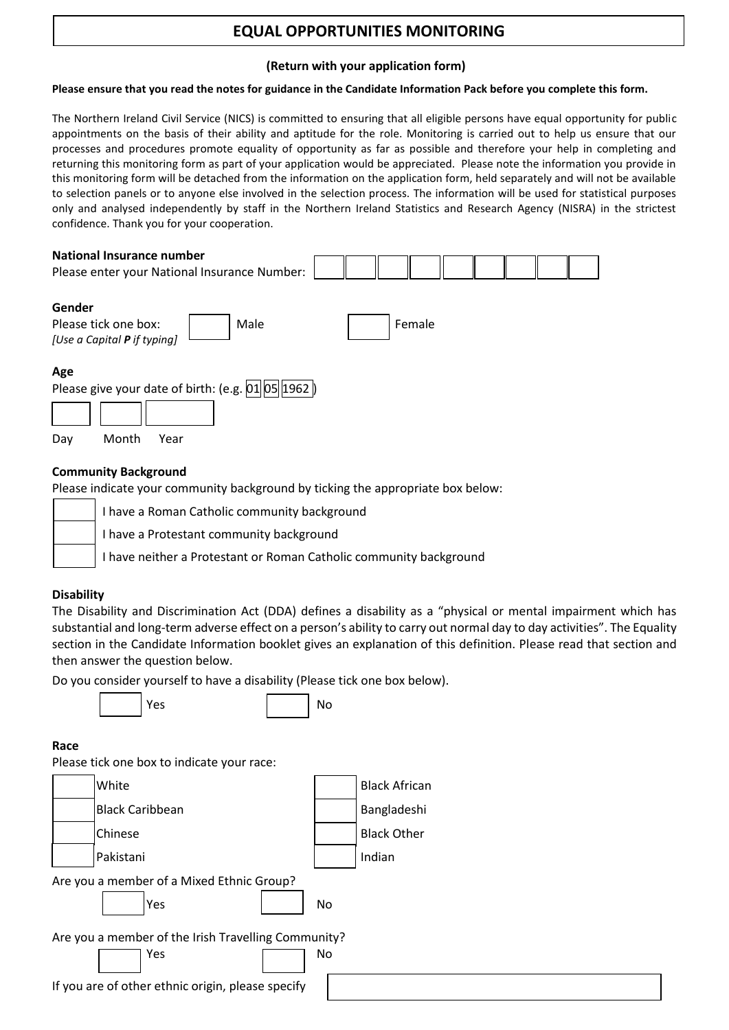# **EQUAL OPPORTUNITIES MONITORING**

#### **(Return with your application form)**

#### **Please ensure that you read the notes for guidance in the Candidate Information Pack before you complete this form.**

The Northern Ireland Civil Service (NICS) is committed to ensuring that all eligible persons have equal opportunity for public appointments on the basis of their ability and aptitude for the role. Monitoring is carried out to help us ensure that our processes and procedures promote equality of opportunity as far as possible and therefore your help in completing and returning this monitoring form as part of your application would be appreciated. Please note the information you provide in this monitoring form will be detached from the information on the application form, held separately and will not be available to selection panels or to anyone else involved in the selection process. The information will be used for statistical purposes only and analysed independently by staff in the Northern Ireland Statistics and Research Agency (NISRA) in the strictest confidence. Thank you for your cooperation.

| <b>National Insurance number</b><br>Please enter your National Insurance Number:                |        |
|-------------------------------------------------------------------------------------------------|--------|
| Gender<br>Please tick one box:<br>Male<br>[Use a Capital <b>P</b> if typing]                    | Female |
| Age<br>Please give your date of birth: (e.g. $\vert 01 \vert \vert 05 \vert \vert 1962 \vert$ ) |        |

Day Month Year

## **Community Background**

Please indicate your community background by ticking the appropriate box below:

| I have a Roman Catholic community background                       |
|--------------------------------------------------------------------|
| I have a Protestant community background                           |
| I have neither a Protestant or Roman Catholic community background |

#### **Disability**

The Disability and Discrimination Act (DDA) defines a disability as a "physical or mental impairment which has substantial and long-term adverse effect on a person's ability to carry out normal day to day activities". The Equality section in the Candidate Information booklet gives an explanation of this definition. Please read that section and then answer the question below.

Do you consider yourself to have a disability (Please tick one box below).

and the set of the North States of the North States (1980) and North States (1980) and North States (1980) and

## **Race**

Please tick one box to indicate your race:

| White                                               |     | <b>Black African</b> |
|-----------------------------------------------------|-----|----------------------|
| <b>Black Caribbean</b>                              |     | Bangladeshi          |
| Chinese                                             |     | <b>Black Other</b>   |
| Pakistani                                           |     | Indian               |
| Are you a member of a Mixed Ethnic Group?           |     |                      |
| Yes                                                 | No. |                      |
| Are you a member of the Irish Travelling Community? |     |                      |
| Yes                                                 | No. |                      |
| If you are of other ethnic origin, please specify   |     |                      |
|                                                     |     |                      |